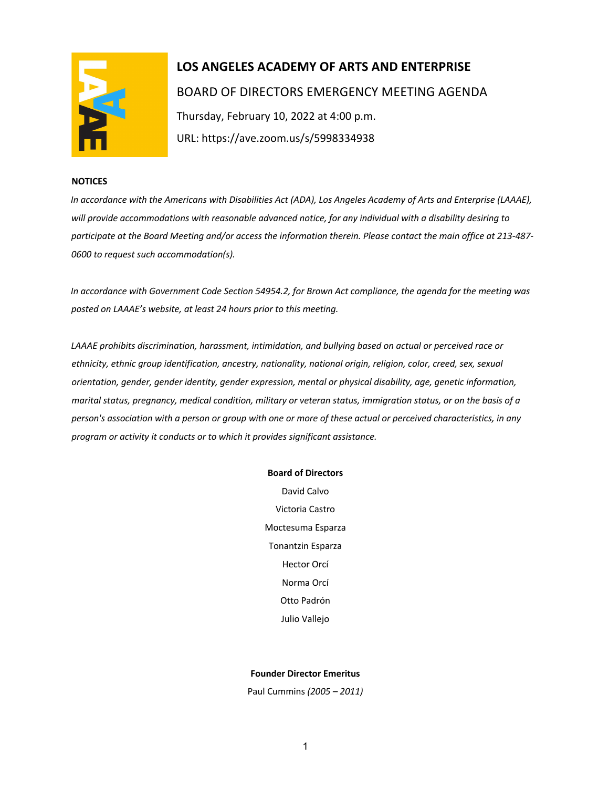

# **LOS ANGELES ACADEMY OF ARTS AND ENTERPRISE**  BOARD OF DIRECTORS EMERGENCY MEETING AGENDA Thursday, February 10, 2022 at 4:00 p.m. URL: https://ave.zoom.us/s/5998334938

#### **NOTICES**

*In accordance with the Americans with Disabilities Act (ADA), Los Angeles Academy of Arts and Enterprise (LAAAE), will provide accommodations with reasonable advanced notice, for any individual with a disability desiring to participate at the Board Meeting and/or access the information therein. Please contact the main office at 213-487- 0600 to request such accommodation(s).* 

*In accordance with Government Code Section 54954.2, for Brown Act compliance, the agenda for the meeting was posted on LAAAE's website, at least 24 hours prior to this meeting.* 

*LAAAE prohibits discrimination, harassment, intimidation, and bullying based on actual or perceived race or ethnicity, ethnic group identification, ancestry, nationality, national origin, religion, color, creed, sex, sexual orientation, gender, gender identity, gender expression, mental or physical disability, age, genetic information, marital status, pregnancy, medical condition, military or veteran status, immigration status, or on the basis of a person's association with a person or group with one or more of these actual or perceived characteristics, in any program or activity it conducts or to which it provides significant assistance.* 

#### **Board of Directors**

David Calvo Victoria Castro Moctesuma Esparza Tonantzin Esparza Hector Orcí Norma Orcí Otto Padrón Julio Vallejo

### **Founder Director Emeritus**

Paul Cummins *(2005 – 2011)*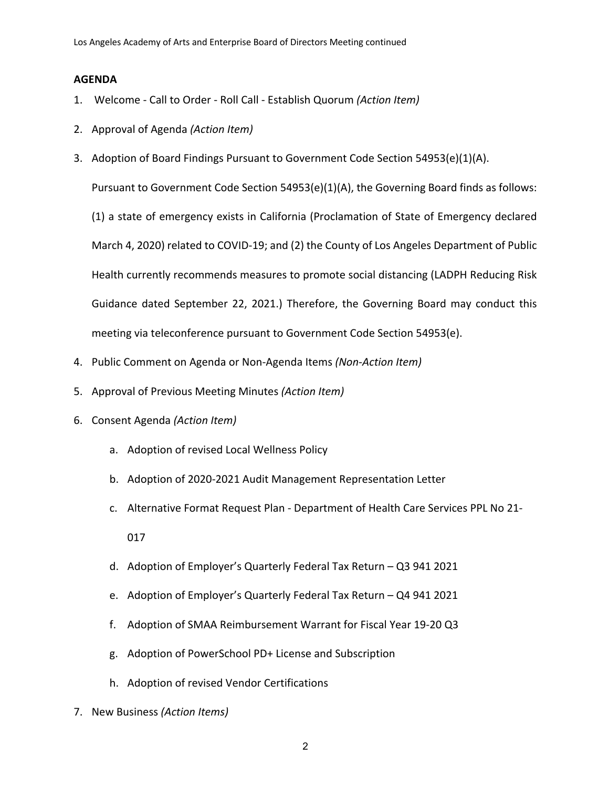## **AGENDA**

- 1. Welcome Call to Order Roll Call Establish Quorum *(Action Item)*
- 2. Approval of Agenda *(Action Item)*
- 3. Adoption of Board Findings Pursuant to Government Code Section 54953(e)(1)(A).

Pursuant to Government Code Section 54953(e)(1)(A), the Governing Board finds as follows:

(1) a state of emergency exists in California (Proclamation of State of Emergency declared March 4, 2020) related to COVID-19; and (2) the County of Los Angeles Department of Public Health currently recommends measures to promote social distancing (LADPH Reducing Risk Guidance dated September 22, 2021.) Therefore, the Governing Board may conduct this meeting via teleconference pursuant to Government Code Section 54953(e).

- 4. Public Comment on Agenda or Non-Agenda Items *(Non-Action Item)*
- 5. Approval of Previous Meeting Minutes *(Action Item)*
- 6. Consent Agenda *(Action Item)*
	- a. Adoption of revised Local Wellness Policy
	- b. Adoption of 2020-2021 Audit Management Representation Letter
	- c. Alternative Format Request Plan Department of Health Care Services PPL No 21- 017
	- d. Adoption of Employer's Quarterly Federal Tax Return Q3 941 2021
	- e. Adoption of Employer's Quarterly Federal Tax Return Q4 941 2021
	- f. Adoption of SMAA Reimbursement Warrant for Fiscal Year 19-20 Q3
	- g. Adoption of PowerSchool PD+ License and Subscription
	- h. Adoption of revised Vendor Certifications
- 7. New Business *(Action Items)*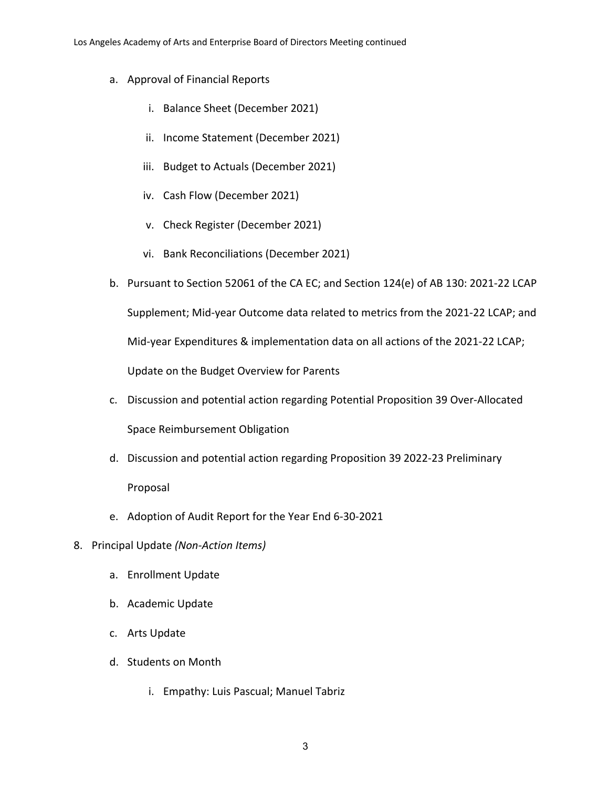- a. Approval of Financial Reports
	- i. Balance Sheet (December 2021)
	- ii. Income Statement (December 2021)
	- iii. Budget to Actuals (December 2021)
	- iv. Cash Flow (December 2021)
	- v. Check Register (December 2021)
	- vi. Bank Reconciliations (December 2021)
- b. Pursuant to Section 52061 of the CA EC; and Section 124(e) of AB 130: 2021-22 LCAP

Supplement; Mid-year Outcome data related to metrics from the 2021-22 LCAP; and

Mid-year Expenditures & implementation data on all actions of the 2021-22 LCAP;

Update on the Budget Overview for Parents

- c. Discussion and potential action regarding Potential Proposition 39 Over-Allocated Space Reimbursement Obligation
- d. Discussion and potential action regarding Proposition 39 2022-23 Preliminary Proposal
- e. Adoption of Audit Report for the Year End 6-30-2021
- 8. Principal Update *(Non-Action Items)*
	- a. Enrollment Update
	- b. Academic Update
	- c. Arts Update
	- d. Students on Month
		- i. Empathy: Luis Pascual; Manuel Tabriz